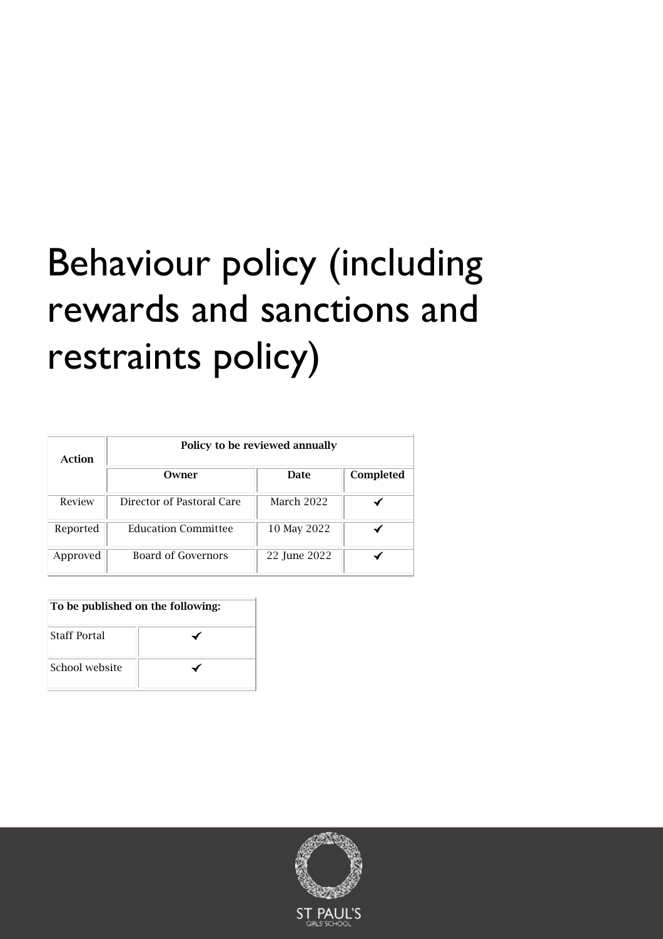# Behaviour policy (including rewards and sanctions and restraints policy)

| Action   | Policy to be reviewed annually |              |           |  |
|----------|--------------------------------|--------------|-----------|--|
|          | Owner                          | Date         | Completed |  |
| Review   | Director of Pastoral Care      | March 2022   |           |  |
| Reported | <b>Education Committee</b>     | 10 May 2022  |           |  |
| Approved | Board of Governors             | 22 June 2022 |           |  |

| To be published on the following: |  |  |
|-----------------------------------|--|--|
| <b>Staff Portal</b>               |  |  |
| School website                    |  |  |

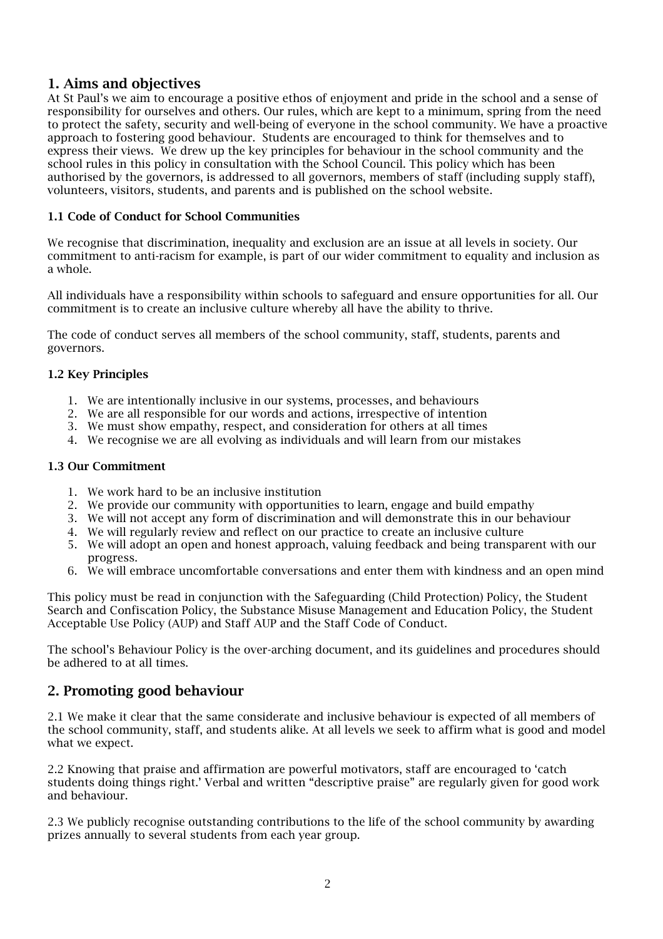# 1. Aims and objectives

At St Paul's we aim to encourage a positive ethos of enjoyment and pride in the school and a sense of responsibility for ourselves and others. Our rules, which are kept to a minimum, spring from the need to protect the safety, security and well-being of everyone in the school community. We have a proactive approach to fostering good behaviour. Students are encouraged to think for themselves and to express their views. We drew up the key principles for behaviour in the school community and the school rules in this policy in consultation with the School Council. This policy which has been authorised by the governors, is addressed to all governors, members of staff (including supply staff), volunteers, visitors, students, and parents and is published on the school website.

## 1.1 Code of Conduct for School Communities

We recognise that discrimination, inequality and exclusion are an issue at all levels in society. Our commitment to anti-racism for example, is part of our wider commitment to equality and inclusion as a whole.

All individuals have a responsibility within schools to safeguard and ensure opportunities for all. Our commitment is to create an inclusive culture whereby all have the ability to thrive.

The code of conduct serves all members of the school community, staff, students, parents and governors.

## 1.2 Key Principles

- 1. We are intentionally inclusive in our systems, processes, and behaviours
- 2. We are all responsible for our words and actions, irrespective of intention
- 3. We must show empathy, respect, and consideration for others at all times
- 4. We recognise we are all evolving as individuals and will learn from our mistakes

## 1.3 Our Commitment

- 1. We work hard to be an inclusive institution
- 2. We provide our community with opportunities to learn, engage and build empathy
- 3. We will not accept any form of discrimination and will demonstrate this in our behaviour
- 4. We will regularly review and reflect on our practice to create an inclusive culture
- 5. We will adopt an open and honest approach, valuing feedback and being transparent with our progress.
- 6. We will embrace uncomfortable conversations and enter them with kindness and an open mind

This policy must be read in conjunction with the Safeguarding (Child Protection) Policy, the Student Search and Confiscation Policy, the Substance Misuse Management and Education Policy, the Student Acceptable Use Policy (AUP) and Staff AUP and the Staff Code of Conduct.

The school's Behaviour Policy is the over-arching document, and its guidelines and procedures should be adhered to at all times.

## 2. Promoting good behaviour

2.1 We make it clear that the same considerate and inclusive behaviour is expected of all members of the school community, staff, and students alike. At all levels we seek to affirm what is good and model what we expect.

2.2 Knowing that praise and affirmation are powerful motivators, staff are encouraged to 'catch students doing things right.' Verbal and written "descriptive praise" are regularly given for good work and behaviour.

2.3 We publicly recognise outstanding contributions to the life of the school community by awarding prizes annually to several students from each year group.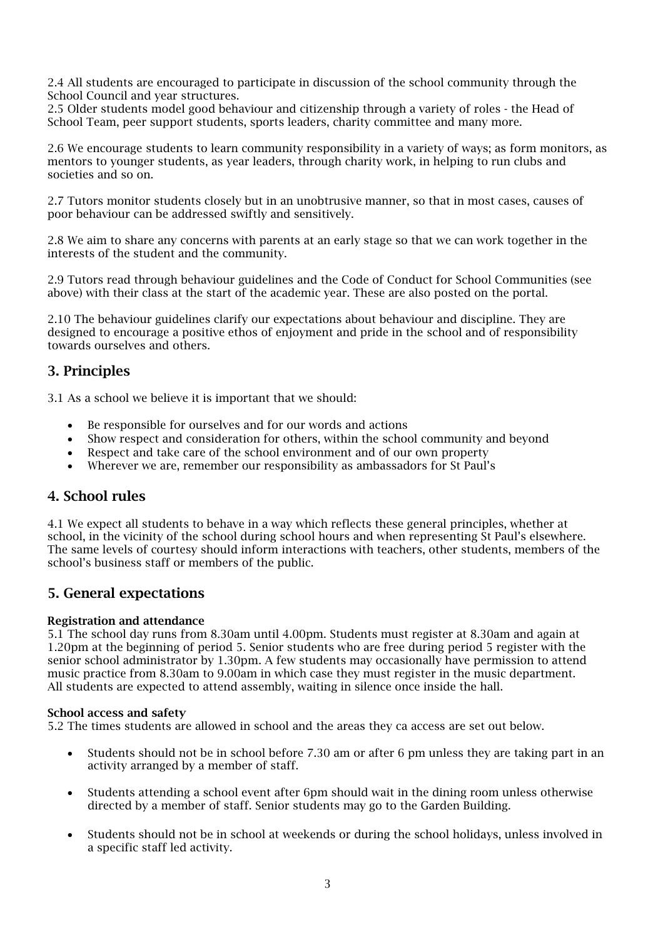2.4 All students are encouraged to participate in discussion of the school community through the School Council and year structures.

2.5 Older students model good behaviour and citizenship through a variety of roles - the Head of School Team, peer support students, sports leaders, charity committee and many more.

2.6 We encourage students to learn community responsibility in a variety of ways; as form monitors, as mentors to younger students, as year leaders, through charity work, in helping to run clubs and societies and so on.

2.7 Tutors monitor students closely but in an unobtrusive manner, so that in most cases, causes of poor behaviour can be addressed swiftly and sensitively.

2.8 We aim to share any concerns with parents at an early stage so that we can work together in the interests of the student and the community.

2.9 Tutors read through behaviour guidelines and the Code of Conduct for School Communities (see above) with their class at the start of the academic year. These are also posted on the portal.

2.10 The behaviour guidelines clarify our expectations about behaviour and discipline. They are designed to encourage a positive ethos of enjoyment and pride in the school and of responsibility towards ourselves and others.

## 3. Principles

3.1 As a school we believe it is important that we should:

- Be responsible for ourselves and for our words and actions
- Show respect and consideration for others, within the school community and beyond
- Respect and take care of the school environment and of our own property
- Wherever we are, remember our responsibility as ambassadors for St Paul's

# 4. School rules

4.1 We expect all students to behave in a way which reflects these general principles, whether at school, in the vicinity of the school during school hours and when representing St Paul's elsewhere. The same levels of courtesy should inform interactions with teachers, other students, members of the school's business staff or members of the public.

## 5. General expectations

## Registration and attendance

5.1 The school day runs from 8.30am until 4.00pm. Students must register at 8.30am and again at 1.20pm at the beginning of period 5. Senior students who are free during period 5 register with the senior school administrator by 1.30pm. A few students may occasionally have permission to attend music practice from 8.30am to 9.00am in which case they must register in the music department. All students are expected to attend assembly, waiting in silence once inside the hall.

#### School access and safety

5.2 The times students are allowed in school and the areas they ca access are set out below.

- Students should not be in school before 7.30 am or after 6 pm unless they are taking part in an activity arranged by a member of staff.
- Students attending a school event after 6pm should wait in the dining room unless otherwise directed by a member of staff. Senior students may go to the Garden Building.
- Students should not be in school at weekends or during the school holidays, unless involved in a specific staff led activity.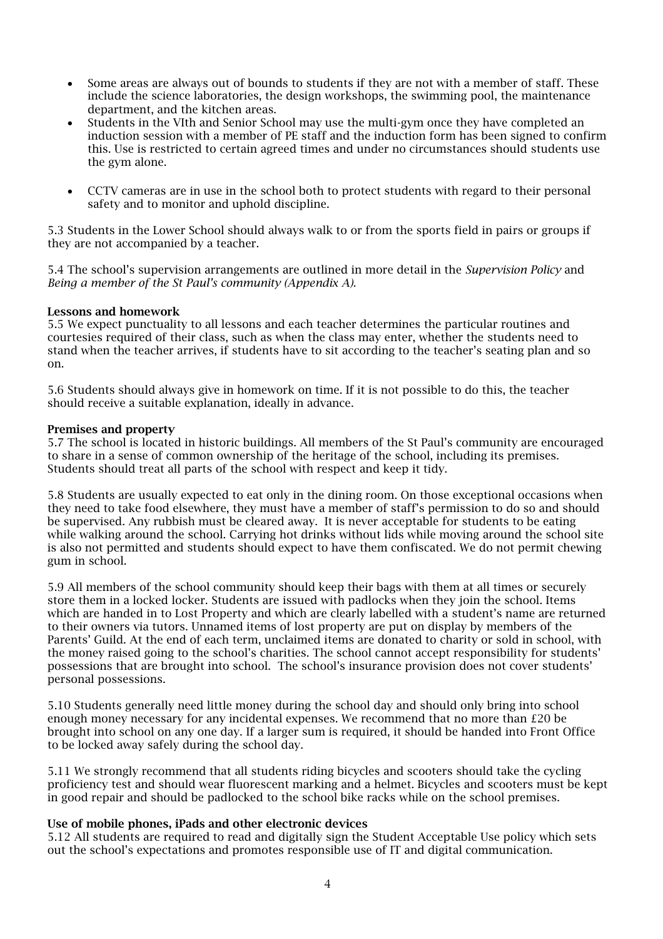- Some areas are always out of bounds to students if they are not with a member of staff. These include the science laboratories, the design workshops, the swimming pool, the maintenance department, and the kitchen areas.
- Students in the VIth and Senior School may use the multi-gym once they have completed an induction session with a member of PE staff and the induction form has been signed to confirm this. Use is restricted to certain agreed times and under no circumstances should students use the gym alone.
- CCTV cameras are in use in the school both to protect students with regard to their personal safety and to monitor and uphold discipline.

5.3 Students in the Lower School should always walk to or from the sports field in pairs or groups if they are not accompanied by a teacher.

5.4 The school's supervision arrangements are outlined in more detail in the *Supervision Policy* and *Being a member of the St Paul's community (Appendix A).* 

#### Lessons and homework

5.5 We expect punctuality to all lessons and each teacher determines the particular routines and courtesies required of their class, such as when the class may enter, whether the students need to stand when the teacher arrives, if students have to sit according to the teacher's seating plan and so on.

5.6 Students should always give in homework on time. If it is not possible to do this, the teacher should receive a suitable explanation, ideally in advance.

#### Premises and property

5.7 The school is located in historic buildings. All members of the St Paul's community are encouraged to share in a sense of common ownership of the heritage of the school, including its premises. Students should treat all parts of the school with respect and keep it tidy.

5.8 Students are usually expected to eat only in the dining room. On those exceptional occasions when they need to take food elsewhere, they must have a member of staff's permission to do so and should be supervised. Any rubbish must be cleared away. It is never acceptable for students to be eating while walking around the school. Carrying hot drinks without lids while moving around the school site is also not permitted and students should expect to have them confiscated. We do not permit chewing gum in school.

5.9 All members of the school community should keep their bags with them at all times or securely store them in a locked locker. Students are issued with padlocks when they join the school. Items which are handed in to Lost Property and which are clearly labelled with a student's name are returned to their owners via tutors. Unnamed items of lost property are put on display by members of the Parents' Guild. At the end of each term, unclaimed items are donated to charity or sold in school, with the money raised going to the school's charities. The school cannot accept responsibility for students' possessions that are brought into school. The school's insurance provision does not cover students' personal possessions.

5.10 Students generally need little money during the school day and should only bring into school enough money necessary for any incidental expenses. We recommend that no more than £20 be brought into school on any one day. If a larger sum is required, it should be handed into Front Office to be locked away safely during the school day.

5.11 We strongly recommend that all students riding bicycles and scooters should take the cycling proficiency test and should wear fluorescent marking and a helmet. Bicycles and scooters must be kept in good repair and should be padlocked to the school bike racks while on the school premises.

#### Use of mobile phones, iPads and other electronic devices

5.12 All students are required to read and digitally sign the Student Acceptable Use policy which sets out the school's expectations and promotes responsible use of IT and digital communication.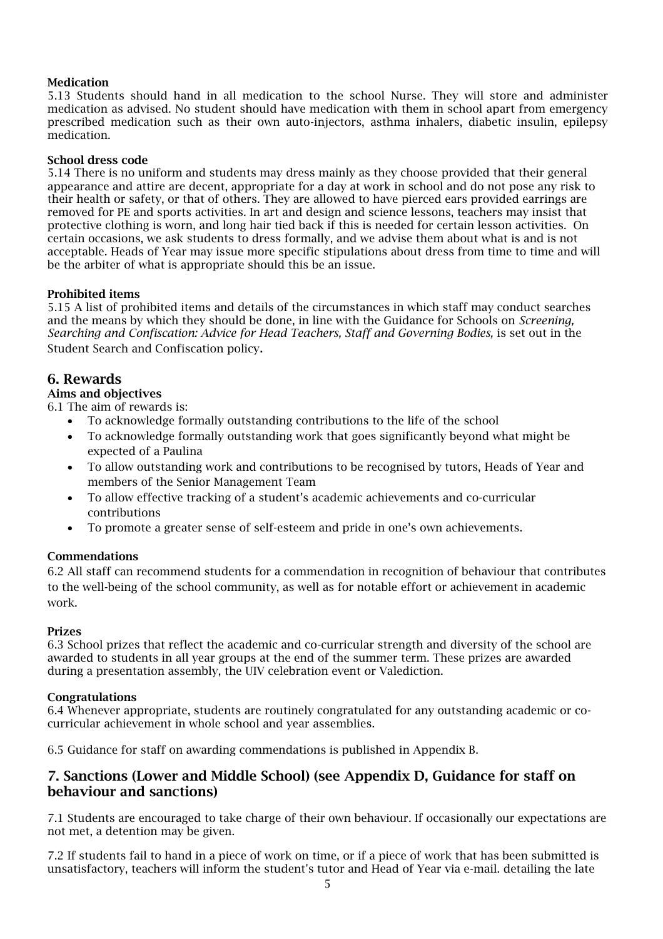## Medication

5.13 Students should hand in all medication to the school Nurse. They will store and administer medication as advised. No student should have medication with them in school apart from emergency prescribed medication such as their own auto-injectors, asthma inhalers, diabetic insulin, epilepsy medication.

#### School dress code

5.14 There is no uniform and students may dress mainly as they choose provided that their general appearance and attire are decent, appropriate for a day at work in school and do not pose any risk to their health or safety, or that of others. They are allowed to have pierced ears provided earrings are removed for PE and sports activities. In art and design and science lessons, teachers may insist that protective clothing is worn, and long hair tied back if this is needed for certain lesson activities. On certain occasions, we ask students to dress formally, and we advise them about what is and is not acceptable. Heads of Year may issue more specific stipulations about dress from time to time and will be the arbiter of what is appropriate should this be an issue.

#### Prohibited items

5.15 A list of prohibited items and details of the circumstances in which staff may conduct searches and the means by which they should be done, in line with the Guidance for Schools on *Screening, Searching and Confiscation: Advice for Head Teachers, Staff and Governing Bodies, is set out in the* Student Search and Confiscation policy.

## 6. Rewards

## Aims and objectives

6.1 The aim of rewards is:

- To acknowledge formally outstanding contributions to the life of the school
- To acknowledge formally outstanding work that goes significantly beyond what might be expected of a Paulina
- To allow outstanding work and contributions to be recognised by tutors, Heads of Year and members of the Senior Management Team
- To allow effective tracking of a student's academic achievements and co-curricular contributions
- To promote a greater sense of self-esteem and pride in one's own achievements.

## Commendations

6.2 All staff can recommend students for a commendation in recognition of behaviour that contributes to the well-being of the school community, as well as for notable effort or achievement in academic work.

#### Prizes

6.3 School prizes that reflect the academic and co-curricular strength and diversity of the school are awarded to students in all year groups at the end of the summer term. These prizes are awarded during a presentation assembly, the UIV celebration event or Valediction.

#### Congratulations

6.4 Whenever appropriate, students are routinely congratulated for any outstanding academic or cocurricular achievement in whole school and year assemblies.

6.5 Guidance for staff on awarding commendations is published in Appendix B.

## 7. Sanctions (Lower and Middle School) (see Appendix D, Guidance for staff on behaviour and sanctions)

7.1 Students are encouraged to take charge of their own behaviour. If occasionally our expectations are not met, a detention may be given.

7.2 If students fail to hand in a piece of work on time, or if a piece of work that has been submitted is unsatisfactory, teachers will inform the student's tutor and Head of Year via e-mail. detailing the late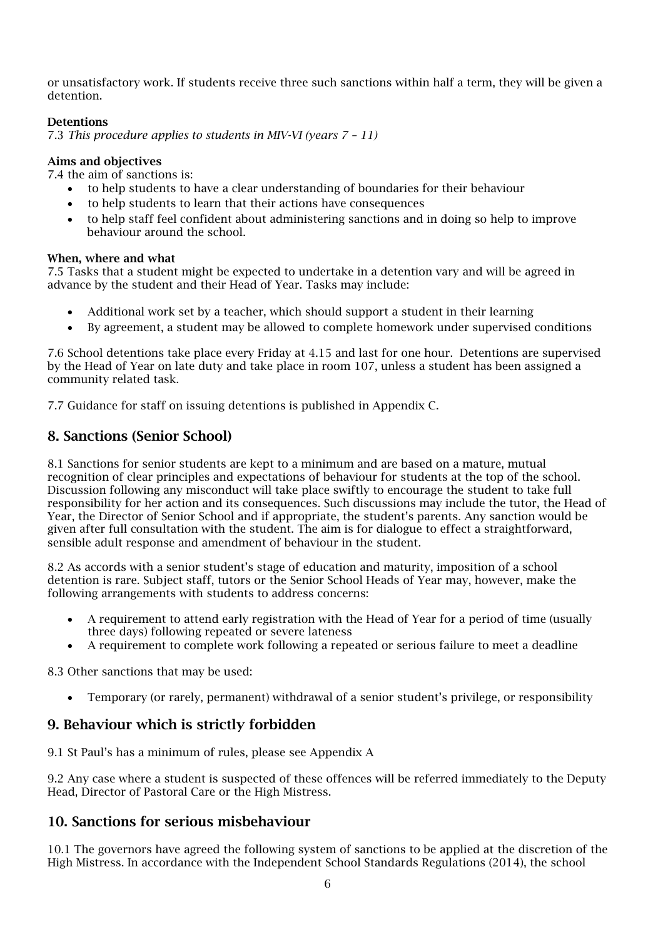or unsatisfactory work. If students receive three such sanctions within half a term, they will be given a detention.

## Detentions

7.3 *This procedure applies to students in MIV-VI (years 7 – 11)*

#### Aims and objectives

7.4 the aim of sanctions is:

- to help students to have a clear understanding of boundaries for their behaviour
- to help students to learn that their actions have consequences
- to help staff feel confident about administering sanctions and in doing so help to improve behaviour around the school.

#### When, where and what

7.5 Tasks that a student might be expected to undertake in a detention vary and will be agreed in advance by the student and their Head of Year. Tasks may include:

- Additional work set by a teacher, which should support a student in their learning
- By agreement, a student may be allowed to complete homework under supervised conditions

7.6 School detentions take place every Friday at 4.15 and last for one hour. Detentions are supervised by the Head of Year on late duty and take place in room 107, unless a student has been assigned a community related task.

7.7 Guidance for staff on issuing detentions is published in Appendix C.

## 8. Sanctions (Senior School)

8.1 Sanctions for senior students are kept to a minimum and are based on a mature, mutual recognition of clear principles and expectations of behaviour for students at the top of the school. Discussion following any misconduct will take place swiftly to encourage the student to take full responsibility for her action and its consequences. Such discussions may include the tutor, the Head of Year, the Director of Senior School and if appropriate, the student's parents. Any sanction would be given after full consultation with the student. The aim is for dialogue to effect a straightforward, sensible adult response and amendment of behaviour in the student.

8.2 As accords with a senior student's stage of education and maturity, imposition of a school detention is rare. Subject staff, tutors or the Senior School Heads of Year may, however, make the following arrangements with students to address concerns:

- A requirement to attend early registration with the Head of Year for a period of time (usually three days) following repeated or severe lateness
- A requirement to complete work following a repeated or serious failure to meet a deadline

8.3 Other sanctions that may be used:

• Temporary (or rarely, permanent) withdrawal of a senior student's privilege, or responsibility

## 9. Behaviour which is strictly forbidden

9.1 St Paul's has a minimum of rules, please see Appendix A

9.2 Any case where a student is suspected of these offences will be referred immediately to the Deputy Head, Director of Pastoral Care or the High Mistress.

## 10. Sanctions for serious misbehaviour

10.1 The governors have agreed the following system of sanctions to be applied at the discretion of the High Mistress. In accordance with the Independent School Standards Regulations (2014), the school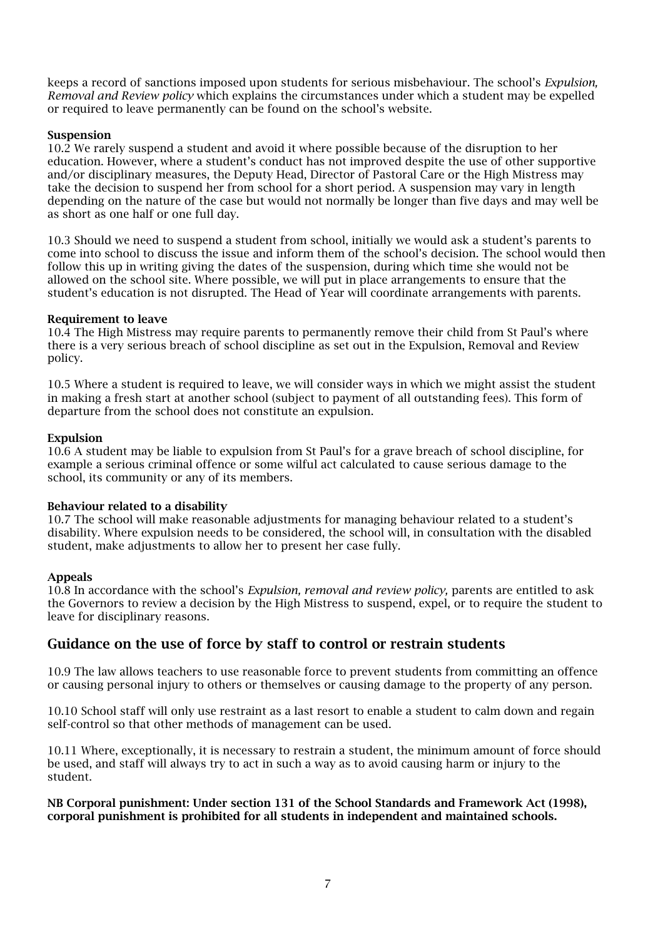keeps a record of sanctions imposed upon students for serious misbehaviour. The school's *Expulsion, Removal and Review policy* which explains the circumstances under which a student may be expelled or required to leave permanently can be found on the school's website.

#### Suspension

10.2 We rarely suspend a student and avoid it where possible because of the disruption to her education. However, where a student's conduct has not improved despite the use of other supportive and/or disciplinary measures, the Deputy Head, Director of Pastoral Care or the High Mistress may take the decision to suspend her from school for a short period. A suspension may vary in length depending on the nature of the case but would not normally be longer than five days and may well be as short as one half or one full day.

10.3 Should we need to suspend a student from school, initially we would ask a student's parents to come into school to discuss the issue and inform them of the school's decision. The school would then follow this up in writing giving the dates of the suspension, during which time she would not be allowed on the school site. Where possible, we will put in place arrangements to ensure that the student's education is not disrupted. The Head of Year will coordinate arrangements with parents.

#### Requirement to leave

10.4 The High Mistress may require parents to permanently remove their child from St Paul's where there is a very serious breach of school discipline as set out in the Expulsion, Removal and Review policy.

10.5 Where a student is required to leave, we will consider ways in which we might assist the student in making a fresh start at another school (subject to payment of all outstanding fees). This form of departure from the school does not constitute an expulsion.

#### Expulsion

10.6 A student may be liable to expulsion from St Paul's for a grave breach of school discipline, for example a serious criminal offence or some wilful act calculated to cause serious damage to the school, its community or any of its members.

#### Behaviour related to a disability

10.7 The school will make reasonable adjustments for managing behaviour related to a student's disability. Where expulsion needs to be considered, the school will, in consultation with the disabled student, make adjustments to allow her to present her case fully.

#### Appeals

10.8 In accordance with the school's *Expulsion, removal and review policy,* parents are entitled to ask the Governors to review a decision by the High Mistress to suspend, expel, or to require the student to leave for disciplinary reasons.

## Guidance on the use of force by staff to control or restrain students

10.9 The law allows teachers to use reasonable force to prevent students from committing an offence or causing personal injury to others or themselves or causing damage to the property of any person.

10.10 School staff will only use restraint as a last resort to enable a student to calm down and regain self-control so that other methods of management can be used.

10.11 Where, exceptionally, it is necessary to restrain a student, the minimum amount of force should be used, and staff will always try to act in such a way as to avoid causing harm or injury to the student.

#### NB Corporal punishment: Under section 131 of the School Standards and Framework Act (1998), corporal punishment is prohibited for all students in independent and maintained schools.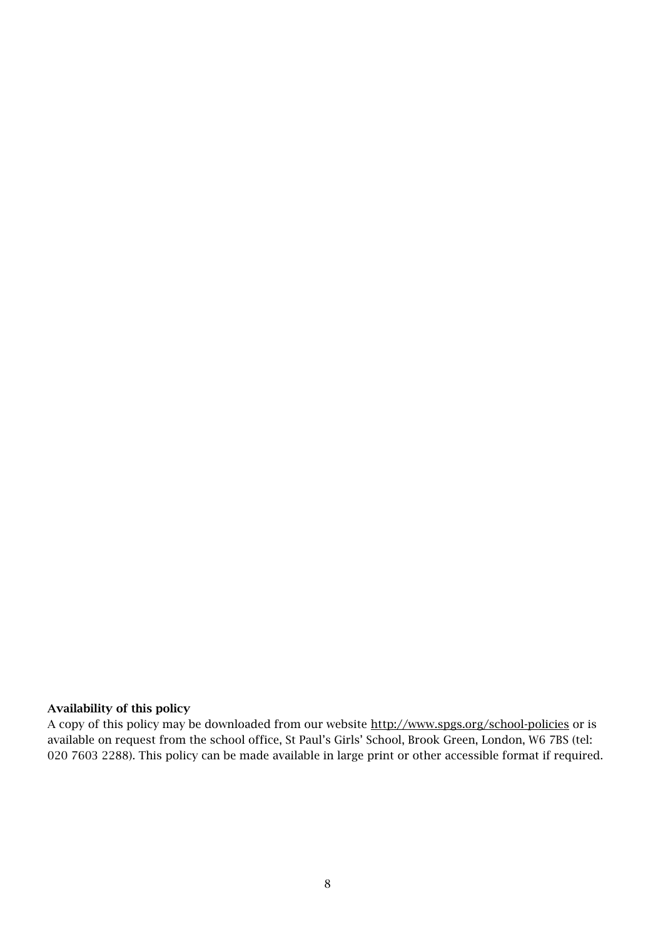## Availability of this policy

A copy of this policy may be downloaded from our website [http://www.spgs.org/school-policies](http://www.spgs.org/what-we-offer/policies) or is available on request from the school office, St Paul's Girls' School, Brook Green, London, W6 7BS (tel: 020 7603 2288). This policy can be made available in large print or other accessible format if required.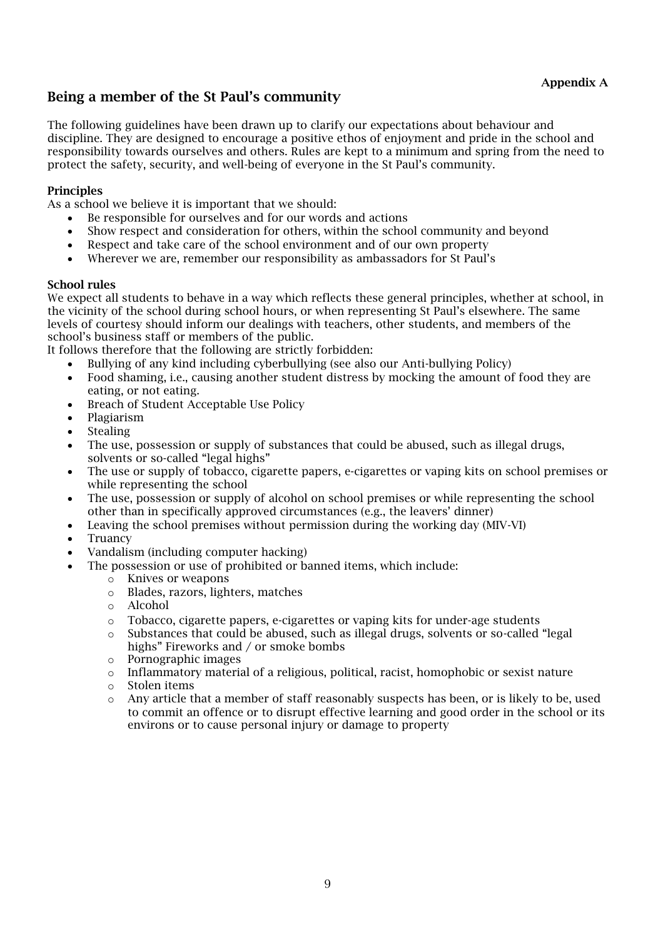# Being a member of the St Paul's community

The following guidelines have been drawn up to clarify our expectations about behaviour and discipline. They are designed to encourage a positive ethos of enjoyment and pride in the school and responsibility towards ourselves and others. Rules are kept to a minimum and spring from the need to protect the safety, security, and well-being of everyone in the St Paul's community.

## **Principles**

As a school we believe it is important that we should:

- Be responsible for ourselves and for our words and actions
- Show respect and consideration for others, within the school community and beyond
- Respect and take care of the school environment and of our own property
- Wherever we are, remember our responsibility as ambassadors for St Paul's

## School rules

We expect all students to behave in a way which reflects these general principles, whether at school, in the vicinity of the school during school hours, or when representing St Paul's elsewhere. The same levels of courtesy should inform our dealings with teachers, other students, and members of the school's business staff or members of the public.

It follows therefore that the following are strictly forbidden:

- Bullying of any kind including cyberbullying (see also our Anti-bullying Policy)
- Food shaming, i.e., causing another student distress by mocking the amount of food they are eating, or not eating.
- Breach of Student Acceptable Use Policy
- Plagiarism
- **Stealing**
- The use, possession or supply of substances that could be abused, such as illegal drugs, solvents or so-called "legal highs"
- The use or supply of tobacco, cigarette papers, e-cigarettes or vaping kits on school premises or while representing the school
- The use, possession or supply of alcohol on school premises or while representing the school other than in specifically approved circumstances (e.g., the leavers' dinner)
- Leaving the school premises without permission during the working day (MIV-VI)
- **Truancy**
- Vandalism (including computer hacking)
	- The possession or use of prohibited or banned items, which include:
		- o Knives or weapons
		- o Blades, razors, lighters, matches
		- o Alcohol
		- $\circ$  Tobacco, cigarette papers, e-cigarettes or vaping kits for under-age students
		- o Substances that could be abused, such as illegal drugs, solvents or so-called "legal highs" Fireworks and / or smoke bombs
		- o Pornographic images
		- $\circ$  Inflammatory material of a religious, political, racist, homophobic or sexist nature
		- o Stolen items
		- o Any article that a member of staff reasonably suspects has been, or is likely to be, used to commit an offence or to disrupt effective learning and good order in the school or its environs or to cause personal injury or damage to property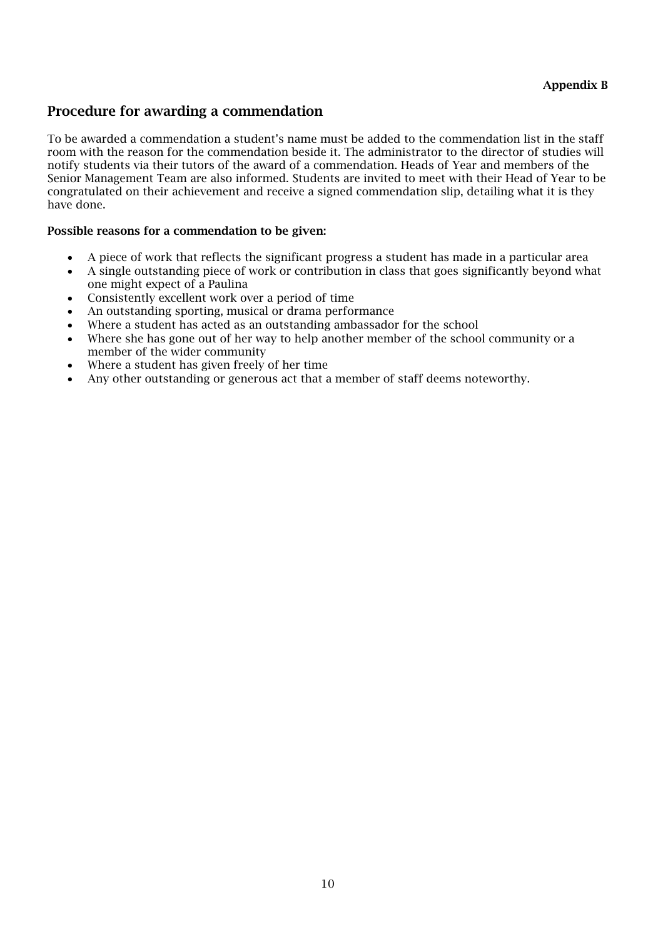## Procedure for awarding a commendation

To be awarded a commendation a student's name must be added to the commendation list in the staff room with the reason for the commendation beside it. The administrator to the director of studies will notify students via their tutors of the award of a commendation. Heads of Year and members of the Senior Management Team are also informed. Students are invited to meet with their Head of Year to be congratulated on their achievement and receive a signed commendation slip, detailing what it is they have done.

#### Possible reasons for a commendation to be given:

- A piece of work that reflects the significant progress a student has made in a particular area
- A single outstanding piece of work or contribution in class that goes significantly beyond what one might expect of a Paulina
- Consistently excellent work over a period of time
- An outstanding sporting, musical or drama performance
- Where a student has acted as an outstanding ambassador for the school
- Where she has gone out of her way to help another member of the school community or a member of the wider community
- Where a student has given freely of her time
- Any other outstanding or generous act that a member of staff deems noteworthy.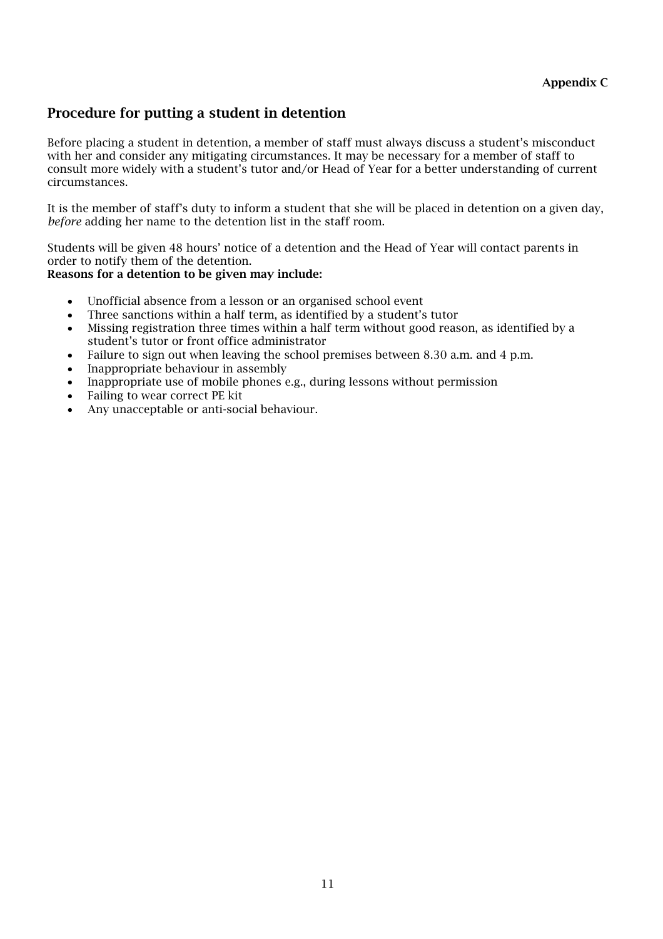# Procedure for putting a student in detention

Before placing a student in detention, a member of staff must always discuss a student's misconduct with her and consider any mitigating circumstances. It may be necessary for a member of staff to consult more widely with a student's tutor and/or Head of Year for a better understanding of current circumstances.

It is the member of staff's duty to inform a student that she will be placed in detention on a given day, *before* adding her name to the detention list in the staff room.

Students will be given 48 hours' notice of a detention and the Head of Year will contact parents in order to notify them of the detention.

## Reasons for a detention to be given may include:

- Unofficial absence from a lesson or an organised school event
- Three sanctions within a half term, as identified by a student's tutor
- Missing registration three times within a half term without good reason, as identified by a student's tutor or front office administrator
- Failure to sign out when leaving the school premises between 8.30 a.m. and 4 p.m.
- Inappropriate behaviour in assembly
- Inappropriate use of mobile phones e.g., during lessons without permission
- Failing to wear correct PE kit
- Any unacceptable or anti-social behaviour.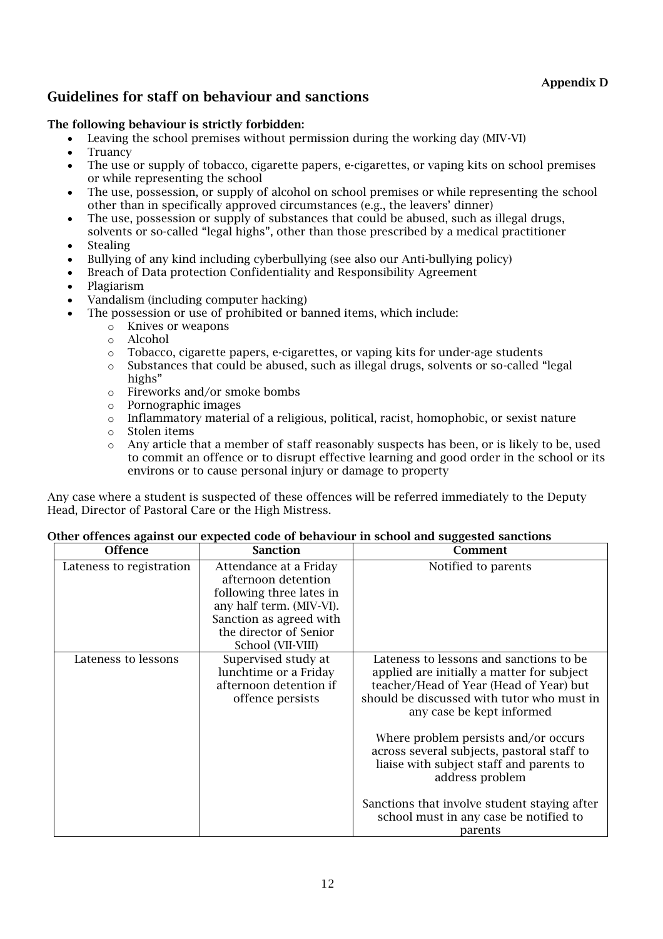# Guidelines for staff on behaviour and sanctions

## The following behaviour is strictly forbidden:

- Leaving the school premises without permission during the working day (MIV-VI)
- **Truancy**
- The use or supply of tobacco, cigarette papers, e-cigarettes, or vaping kits on school premises or while representing the school
- The use, possession, or supply of alcohol on school premises or while representing the school other than in specifically approved circumstances (e.g., the leavers' dinner)
- The use, possession or supply of substances that could be abused, such as illegal drugs, solvents or so-called "legal highs", other than those prescribed by a medical practitioner
- **Stealing**
- Bullying of any kind including cyberbullying (see also our Anti-bullying policy)
- Breach of Data protection Confidentiality and Responsibility Agreement
- Plagiarism
- Vandalism (including computer hacking)
- The possession or use of prohibited or banned items, which include:
	- o Knives or weapons
	- o Alcohol
	- $\circ$  Tobacco, cigarette papers, e-cigarettes, or vaping kits for under-age students
	- o Substances that could be abused, such as illegal drugs, solvents or so-called "legal highs"
	- o Fireworks and/or smoke bombs
	- o Pornographic images
	- $\circ$  Inflammatory material of a religious, political, racist, homophobic, or sexist nature
	- o Stolen items
	- Any article that a member of staff reasonably suspects has been, or is likely to be, used to commit an offence or to disrupt effective learning and good order in the school or its environs or to cause personal injury or damage to property

Any case where a student is suspected of these offences will be referred immediately to the Deputy Head, Director of Pastoral Care or the High Mistress.

| <b>Offence</b>           | <b>Sanction</b>                                                                                                                                                                 | Comment                                                                                                                                                                                                     |
|--------------------------|---------------------------------------------------------------------------------------------------------------------------------------------------------------------------------|-------------------------------------------------------------------------------------------------------------------------------------------------------------------------------------------------------------|
| Lateness to registration | Attendance at a Friday<br>afternoon detention<br>following three lates in<br>any half term. (MIV-VI).<br>Sanction as agreed with<br>the director of Senior<br>School (VII-VIII) | Notified to parents                                                                                                                                                                                         |
| Lateness to lessons      | Supervised study at<br>lunchtime or a Friday<br>afternoon detention if<br>offence persists                                                                                      | Lateness to lessons and sanctions to be<br>applied are initially a matter for subject<br>teacher/Head of Year (Head of Year) but<br>should be discussed with tutor who must in<br>any case be kept informed |
|                          |                                                                                                                                                                                 | Where problem persists and/or occurs<br>across several subjects, pastoral staff to<br>liaise with subject staff and parents to<br>address problem                                                           |
|                          |                                                                                                                                                                                 | Sanctions that involve student staying after<br>school must in any case be notified to<br>parents                                                                                                           |

#### Other offences against our expected code of behaviour in school and suggested sanctions